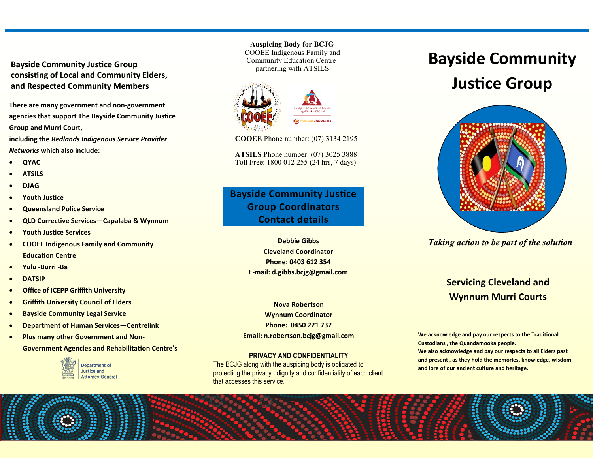**Bayside Community Justice Group consisting of Local and Community Elders, and Respected Community Members**

**There are many government and non-government agencies that support The Bayside Community Justice Group and Murri Court,** 

**including the** *Redlands Indigenous Service Provider Networks* **which also include:**

- **QYAC**
- **ATSILS**
- **DJAG**
- **Youth Justice**
- **Queensland Police Service**
- **QLD Corrective Services—Capalaba & Wynnum**
- **Youth Justice Services**
- **COOEE Indigenous Family and Community Education Centre**
- **Yulu -Burri -Ba**
- **DATSIP**
- **Office of ICEPP Griffith University**
- **Griffith University Council of Elders**
- **Bayside Community Legal Service**
- **Department of Human Services—Centrelink**
- **Plus many other Government and Non-**

**Government Agencies and Rehabilitation Centre's**



 **Auspicing Body for BCJG** COOEE Indigenous Family and Community Education Centre partnering with ATSILS



**COOEE** Phone number: (07) 3134 2195

**ATSILS** Phone number: (07) 3025 3888 Toll Free: 1800 012 255 (24 hrs, 7 days)

### **Bayside Community Justice Group Coordinators Contact details**

**Debbie Gibbs Cleveland Coordinator Phone: 0403 612 354 E-mail: d.gibbs.bcjg@gmail.com**

**Nova Robertson Wynnum Coordinator Phone: 0450 221 737 Email: n.robertson.bcjg@gmail.com**

#### **PRIVACY AND CONFIDENTIALITY**

The BCJG along with the auspicing body is obligated to protecting the privacy , dignity and confidentiality of each client that accesses this service.

# **Bayside Community**

## **Justice Group**



*Taking action to be part of the solution*

## **Servicing Cleveland and Wynnum Murri Courts**

**We acknowledge and pay our respects to the Traditional Custodians , the Quandamooka people. We also acknowledge and pay our respects to all Elders past and present , as they hold the memories, knowledge, wisdom and lore of our ancient culture and heritage.**